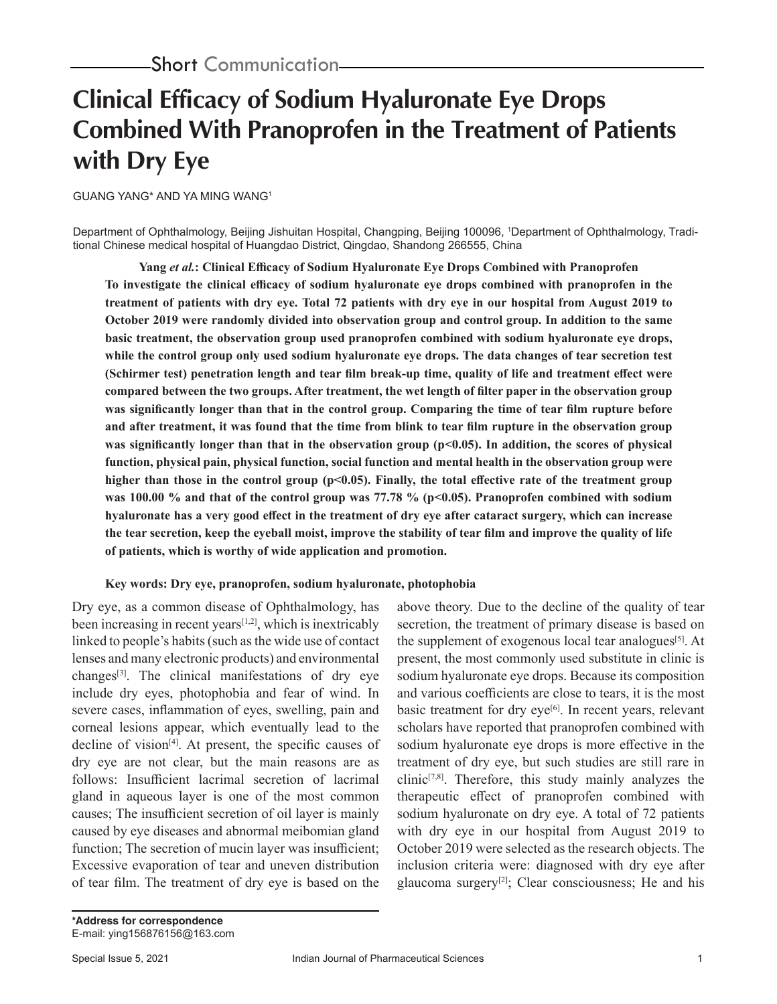# **Clinical Efficacy of Sodium Hyaluronate Eye Drops Combined With Pranoprofen in the Treatment of Patients with Dry Eye**

GUANG YANG\* AND YA MING WANG1

Department of Ophthalmology, Beijing Jishuitan Hospital, Changping, Beijing 100096, 1 Department of Ophthalmology, Traditional Chinese medical hospital of Huangdao District, Qingdao, Shandong 266555, China

**Yang** *et al.***: Clinical Efficacy of Sodium Hyaluronate Eye Drops Combined with Pranoprofen To investigate the clinical efficacy of sodium hyaluronate eye drops combined with pranoprofen in the treatment of patients with dry eye. Total 72 patients with dry eye in our hospital from August 2019 to October 2019 were randomly divided into observation group and control group. In addition to the same basic treatment, the observation group used pranoprofen combined with sodium hyaluronate eye drops, while the control group only used sodium hyaluronate eye drops. The data changes of tear secretion test (Schirmer test) penetration length and tear film break-up time, quality of life and treatment effect were compared between the two groups. After treatment, the wet length of filter paper in the observation group was significantly longer than that in the control group. Comparing the time of tear film rupture before and after treatment, it was found that the time from blink to tear film rupture in the observation group**  was significantly longer than that in the observation group ( $p<0.05$ ). In addition, the scores of physical **function, physical pain, physical function, social function and mental health in the observation group were**  higher than those in the control group (p<0.05). Finally, the total effective rate of the treatment group was 100.00 % and that of the control group was 77.78 % (p<0.05). Pranoprofen combined with sodium **hyaluronate has a very good effect in the treatment of dry eye after cataract surgery, which can increase the tear secretion, keep the eyeball moist, improve the stability of tear film and improve the quality of life of patients, which is worthy of wide application and promotion.**

### **Key words: Dry eye, pranoprofen, sodium hyaluronate, photophobia**

Dry eye, as a common disease of Ophthalmology, has been increasing in recent years $[1,2]$ , which is inextricably linked to people's habits (such as the wide use of contact lenses and many electronic products) and environmental changes<sup>[3]</sup>. The clinical manifestations of dry eye include dry eyes, photophobia and fear of wind. In severe cases, inflammation of eyes, swelling, pain and corneal lesions appear, which eventually lead to the decline of vision $[4]$ . At present, the specific causes of dry eye are not clear, but the main reasons are as follows: Insufficient lacrimal secretion of lacrimal gland in aqueous layer is one of the most common causes; The insufficient secretion of oil layer is mainly caused by eye diseases and abnormal meibomian gland function; The secretion of mucin layer was insufficient; Excessive evaporation of tear and uneven distribution of tear film. The treatment of dry eye is based on the

above theory. Due to the decline of the quality of tear secretion, the treatment of primary disease is based on the supplement of exogenous local tear analogues<sup>[5]</sup>. At present, the most commonly used substitute in clinic is sodium hyaluronate eye drops. Because its composition and various coefficients are close to tears, it is the most basic treatment for dry eye<sup>[6]</sup>. In recent years, relevant scholars have reported that pranoprofen combined with sodium hyaluronate eye drops is more effective in the treatment of dry eye, but such studies are still rare in clinic<sup>[7,8]</sup>. Therefore, this study mainly analyzes the therapeutic effect of pranoprofen combined with sodium hyaluronate on dry eye. A total of 72 patients with dry eye in our hospital from August 2019 to October 2019 were selected as the research objects. The inclusion criteria were: diagnosed with dry eye after glaucoma surgery<sup>[2]</sup>; Clear consciousness; He and his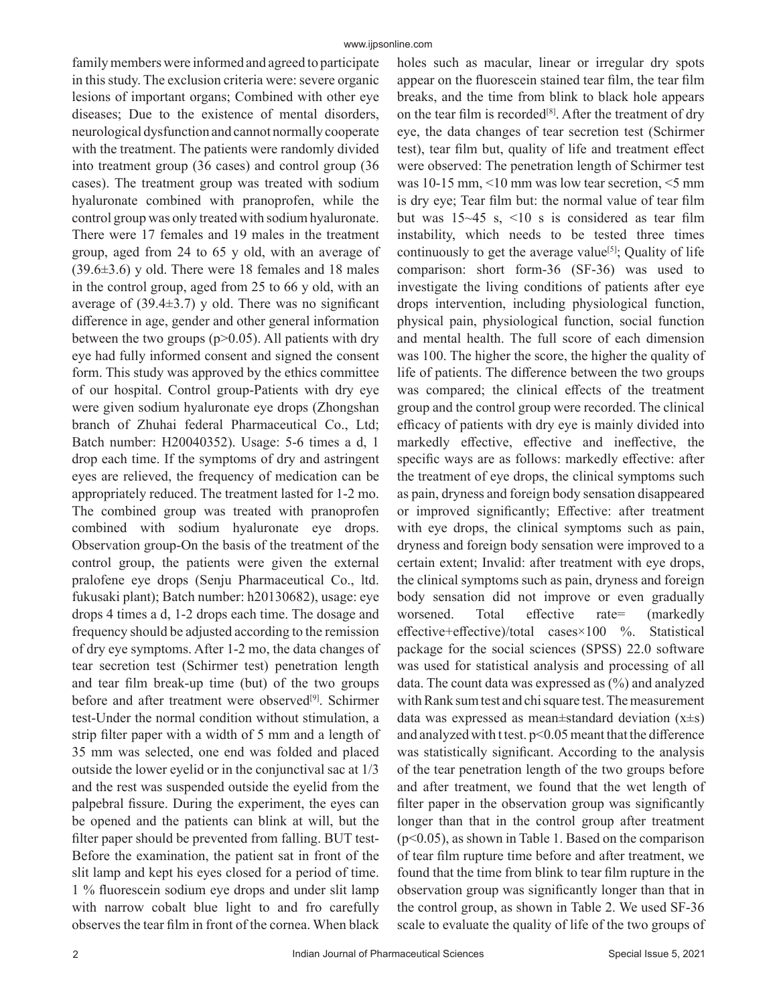family members were informed and agreed to participate in this study. The exclusion criteria were: severe organic lesions of important organs; Combined with other eye diseases; Due to the existence of mental disorders, neurological dysfunction and cannot normally cooperate with the treatment. The patients were randomly divided into treatment group (36 cases) and control group (36 cases). The treatment group was treated with sodium hyaluronate combined with pranoprofen, while the control group was only treated with sodium hyaluronate. There were 17 females and 19 males in the treatment group, aged from 24 to 65 y old, with an average of  $(39.6\pm3.6)$  y old. There were 18 females and 18 males in the control group, aged from 25 to 66 y old, with an average of  $(39.4\pm3.7)$  y old. There was no significant difference in age, gender and other general information between the two groups  $(p>0.05)$ . All patients with dry eye had fully informed consent and signed the consent form. This study was approved by the ethics committee of our hospital. Control group-Patients with dry eye were given sodium hyaluronate eye drops (Zhongshan branch of Zhuhai federal Pharmaceutical Co., Ltd; Batch number: H20040352). Usage: 5-6 times a d, 1 drop each time. If the symptoms of dry and astringent eyes are relieved, the frequency of medication can be appropriately reduced. The treatment lasted for 1-2 mo. The combined group was treated with pranoprofen combined with sodium hyaluronate eye drops. Observation group-On the basis of the treatment of the control group, the patients were given the external pralofene eye drops (Senju Pharmaceutical Co., ltd. fukusaki plant); Batch number: h20130682), usage: eye drops 4 times a d, 1-2 drops each time. The dosage and frequency should be adjusted according to the remission of dry eye symptoms. After 1-2 mo, the data changes of tear secretion test (Schirmer test) penetration length and tear film break-up time (but) of the two groups before and after treatment were observed<sup>[9]</sup>. Schirmer test-Under the normal condition without stimulation, a strip filter paper with a width of 5 mm and a length of 35 mm was selected, one end was folded and placed outside the lower eyelid or in the conjunctival sac at 1/3 and the rest was suspended outside the eyelid from the palpebral fissure. During the experiment, the eyes can be opened and the patients can blink at will, but the filter paper should be prevented from falling. BUT test-Before the examination, the patient sat in front of the slit lamp and kept his eyes closed for a period of time. 1 % fluorescein sodium eye drops and under slit lamp with narrow cobalt blue light to and fro carefully observes the tear film in front of the cornea. When black

holes such as macular, linear or irregular dry spots appear on the fluorescein stained tear film, the tear film breaks, and the time from blink to black hole appears on the tear film is recorded<sup>[8]</sup>. After the treatment of dry eye, the data changes of tear secretion test (Schirmer test), tear film but, quality of life and treatment effect were observed: The penetration length of Schirmer test was 10-15 mm, <10 mm was low tear secretion, <5 mm is dry eye; Tear film but: the normal value of tear film but was 15~45 s, <10 s is considered as tear film instability, which needs to be tested three times continuously to get the average value<sup>[5]</sup>; Quality of life comparison: short form-36 (SF-36) was used to investigate the living conditions of patients after eye drops intervention, including physiological function, physical pain, physiological function, social function and mental health. The full score of each dimension was 100. The higher the score, the higher the quality of life of patients. The difference between the two groups was compared; the clinical effects of the treatment group and the control group were recorded. The clinical efficacy of patients with dry eye is mainly divided into markedly effective, effective and ineffective, the specific ways are as follows: markedly effective: after the treatment of eye drops, the clinical symptoms such as pain, dryness and foreign body sensation disappeared or improved significantly; Effective: after treatment with eye drops, the clinical symptoms such as pain, dryness and foreign body sensation were improved to a certain extent; Invalid: after treatment with eye drops, the clinical symptoms such as pain, dryness and foreign body sensation did not improve or even gradually worsened. Total effective rate= (markedly effective+effective)/total cases×100 %. Statistical package for the social sciences (SPSS) 22.0 software was used for statistical analysis and processing of all data. The count data was expressed as (%) and analyzed with Rank sum test and chi square test. The measurement data was expressed as mean $\pm$ standard deviation (x $\pm$ s) and analyzed with t test. p<0.05 meant that the difference was statistically significant. According to the analysis of the tear penetration length of the two groups before and after treatment, we found that the wet length of filter paper in the observation group was significantly longer than that in the control group after treatment (p<0.05), as shown in Table 1. Based on the comparison of tear film rupture time before and after treatment, we found that the time from blink to tear film rupture in the observation group was significantly longer than that in the control group, as shown in Table 2. We used SF-36 scale to evaluate the quality of life of the two groups of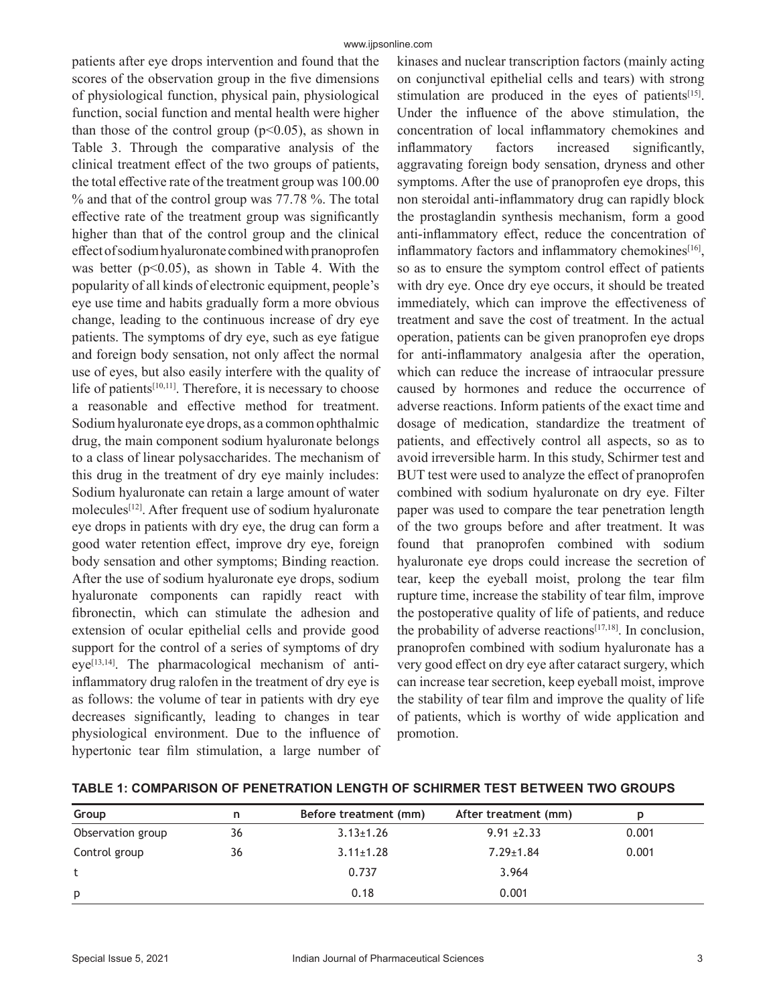patients after eye drops intervention and found that the scores of the observation group in the five dimensions of physiological function, physical pain, physiological function, social function and mental health were higher than those of the control group ( $p<0.05$ ), as shown in Table 3. Through the comparative analysis of the clinical treatment effect of the two groups of patients, the total effective rate of the treatment group was 100.00 % and that of the control group was 77.78 %. The total effective rate of the treatment group was significantly higher than that of the control group and the clinical effect of sodium hyaluronate combined with pranoprofen was better ( $p<0.05$ ), as shown in Table 4. With the popularity of all kinds of electronic equipment, people's eye use time and habits gradually form a more obvious change, leading to the continuous increase of dry eye patients. The symptoms of dry eye, such as eye fatigue and foreign body sensation, not only affect the normal use of eyes, but also easily interfere with the quality of life of patients $[10,11]$ . Therefore, it is necessary to choose a reasonable and effective method for treatment. Sodium hyaluronate eye drops, as a common ophthalmic drug, the main component sodium hyaluronate belongs to a class of linear polysaccharides. The mechanism of this drug in the treatment of dry eye mainly includes: Sodium hyaluronate can retain a large amount of water molecules[12]. After frequent use of sodium hyaluronate eye drops in patients with dry eye, the drug can form a good water retention effect, improve dry eye, foreign body sensation and other symptoms; Binding reaction. After the use of sodium hyaluronate eye drops, sodium hyaluronate components can rapidly react with fibronectin, which can stimulate the adhesion and extension of ocular epithelial cells and provide good support for the control of a series of symptoms of dry  $eye^{[13,14]}$ . The pharmacological mechanism of antiinflammatory drug ralofen in the treatment of dry eye is as follows: the volume of tear in patients with dry eye decreases significantly, leading to changes in tear physiological environment. Due to the influence of hypertonic tear film stimulation, a large number of

kinases and nuclear transcription factors (mainly acting on conjunctival epithelial cells and tears) with strong stimulation are produced in the eyes of patients $[15]$ . Under the influence of the above stimulation, the concentration of local inflammatory chemokines and inflammatory factors increased significantly, aggravating foreign body sensation, dryness and other symptoms. After the use of pranoprofen eye drops, this non steroidal anti-inflammatory drug can rapidly block the prostaglandin synthesis mechanism, form a good anti-inflammatory effect, reduce the concentration of inflammatory factors and inflammatory chemokines<sup>[16]</sup>, so as to ensure the symptom control effect of patients with dry eye. Once dry eye occurs, it should be treated immediately, which can improve the effectiveness of treatment and save the cost of treatment. In the actual operation, patients can be given pranoprofen eye drops for anti-inflammatory analgesia after the operation, which can reduce the increase of intraocular pressure caused by hormones and reduce the occurrence of adverse reactions. Inform patients of the exact time and dosage of medication, standardize the treatment of patients, and effectively control all aspects, so as to avoid irreversible harm. In this study, Schirmer test and BUT test were used to analyze the effect of pranoprofen combined with sodium hyaluronate on dry eye. Filter paper was used to compare the tear penetration length of the two groups before and after treatment. It was found that pranoprofen combined with sodium hyaluronate eye drops could increase the secretion of tear, keep the eyeball moist, prolong the tear film rupture time, increase the stability of tear film, improve the postoperative quality of life of patients, and reduce the probability of adverse reactions $[17,18]$ . In conclusion, pranoprofen combined with sodium hyaluronate has a very good effect on dry eye after cataract surgery, which can increase tear secretion, keep eyeball moist, improve the stability of tear film and improve the quality of life of patients, which is worthy of wide application and promotion.

| Group             | n  | Before treatment (mm) | After treatment (mm) |       |
|-------------------|----|-----------------------|----------------------|-------|
| Observation group | 36 | $3.13 \pm 1.26$       | $9.91 \pm 2.33$      | 0.001 |
| Control group     | 36 | $3.11 \pm 1.28$       | $7.29 \pm 1.84$      | 0.001 |
| t                 |    | 0.737                 | 3.964                |       |
| p                 |    | 0.18                  | 0.001                |       |

**TABLE 1: COMPARISON OF PENETRATION LENGTH OF SCHIRMER TEST BETWEEN TWO GROUPS**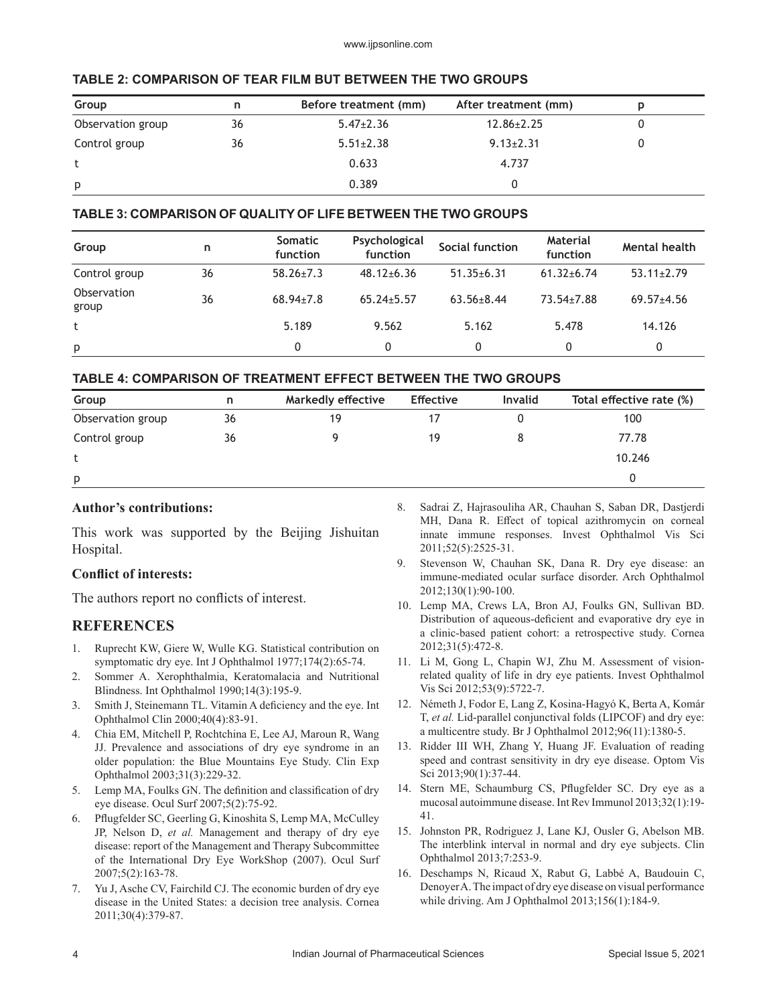| TADLE 2. GOMPANISON OF TEAN FILM BUT DETWEEN THE TWO GNOUPS |    |                       |                      |   |  |
|-------------------------------------------------------------|----|-----------------------|----------------------|---|--|
| Group<br>n                                                  |    | Before treatment (mm) | After treatment (mm) | D |  |
| Observation group                                           | 36 | $5.47 \pm 2.36$       | $12.86 \pm 2.25$     |   |  |
| Control group                                               | 36 | $5.51 \pm 2.38$       | $9.13 \pm 2.31$      |   |  |
|                                                             |    | 0.633                 | 4.737                |   |  |
| p                                                           |    | 0.389                 |                      |   |  |

# **TABLE 2: COMPARISON OF TEAR FILM BUT BETWEEN THE TWO GROUPS**

## **TABLE 3: COMPARISON OF QUALITY OF LIFE BETWEEN THE TWO GROUPS**

| Group                | n  | <b>Somatic</b><br>function | Psychological<br>function | Social function  | <b>Material</b><br>function | <b>Mental health</b> |
|----------------------|----|----------------------------|---------------------------|------------------|-----------------------------|----------------------|
| Control group        | 36 | $58.26 \pm 7.3$            | $48.12 \pm 6.36$          | $51.35 \pm 6.31$ | $61.32 + 6.74$              | $53.11 \pm 2.79$     |
| Observation<br>group | 36 | $68.94 \pm 7.8$            | $65.24 \pm 5.57$          | $63.56 \pm 8.44$ | 73.54±7.88                  | $69.57 + 4.56$       |
| t                    |    | 5.189                      | 9.562                     | 5.162            | 5.478                       | 14.126               |
| p                    |    | 0                          | 0                         | 0                | $\mathbf{0}$                | 0                    |

## **TABLE 4: COMPARISON OF TREATMENT EFFECT BETWEEN THE TWO GROUPS**

| Group             | n  | <b>Markedly effective</b> | <b>Effective</b> | <b>Invalid</b> | Total effective rate (%) |
|-------------------|----|---------------------------|------------------|----------------|--------------------------|
| Observation group | 36 | 19                        |                  |                | 100                      |
| Control group     | 36 |                           | 19               |                | 77.78                    |
|                   |    |                           |                  |                | 10.246                   |
| p                 |    |                           |                  |                |                          |

### **Author's contributions:**

This work was supported by the Beijing Jishuitan Hospital.

### **Conflict of interests:**

The authors report no conflicts of interest.

# **REFERENCES**

- 1. Ruprecht KW, Giere W, Wulle KG. Statistical contribution on symptomatic dry eye. Int J Ophthalmol 1977;174(2):65-74.
- 2. Sommer A. Xerophthalmia, Keratomalacia and Nutritional Blindness. Int Ophthalmol 1990;14(3):195-9.
- 3. Smith J, Steinemann TL. Vitamin A deficiency and the eye. Int Ophthalmol Clin 2000;40(4):83-91.
- 4. Chia EM, Mitchell P, Rochtchina E, Lee AJ, Maroun R, Wang JJ. Prevalence and associations of dry eye syndrome in an older population: the Blue Mountains Eye Study. Clin Exp Ophthalmol 2003;31(3):229-32.
- 5. Lemp MA, Foulks GN. The definition and classification of dry eye disease. Ocul Surf 2007;5(2):75-92.
- 6. Pflugfelder SC, Geerling G, Kinoshita S, Lemp MA, McCulley JP, Nelson D, *et al.* Management and therapy of dry eye disease: report of the Management and Therapy Subcommittee of the International Dry Eye WorkShop (2007). Ocul Surf 2007;5(2):163-78.
- 7. Yu J, Asche CV, Fairchild CJ. The economic burden of dry eye disease in the United States: a decision tree analysis. Cornea 2011;30(4):379-87.
- 8. Sadrai Z, Hajrasouliha AR, Chauhan S, Saban DR, Dastjerdi MH, Dana R. Effect of topical azithromycin on corneal innate immune responses. Invest Ophthalmol Vis Sci 2011;52(5):2525-31.
- 9. Stevenson W, Chauhan SK, Dana R. Dry eye disease: an immune-mediated ocular surface disorder. Arch Ophthalmol 2012;130(1):90-100.
- 10. Lemp MA, Crews LA, Bron AJ, Foulks GN, Sullivan BD. Distribution of aqueous-deficient and evaporative dry eye in a clinic-based patient cohort: a retrospective study. Cornea 2012;31(5):472-8.
- 11. Li M, Gong L, Chapin WJ, Zhu M. Assessment of visionrelated quality of life in dry eye patients. Invest Ophthalmol Vis Sci 2012;53(9):5722-7.
- 12. Németh J, Fodor E, Lang Z, Kosina-Hagyó K, Berta A, Komár T, *et al.* Lid-parallel conjunctival folds (LIPCOF) and dry eye: a multicentre study. Br J Ophthalmol 2012;96(11):1380-5.
- 13. Ridder III WH, Zhang Y, Huang JF. Evaluation of reading speed and contrast sensitivity in dry eye disease. Optom Vis Sci 2013;90(1):37-44.
- 14. Stern ME, Schaumburg CS, Pflugfelder SC. Dry eye as a mucosal autoimmune disease. Int Rev Immunol 2013;32(1):19- 41.
- 15. Johnston PR, Rodriguez J, Lane KJ, Ousler G, Abelson MB. The interblink interval in normal and dry eye subjects. Clin Ophthalmol 2013;7:253-9.
- 16. Deschamps N, Ricaud X, Rabut G, Labbé A, Baudouin C, Denoyer A. The impact of dry eye disease on visual performance while driving. Am J Ophthalmol 2013;156(1):184-9.